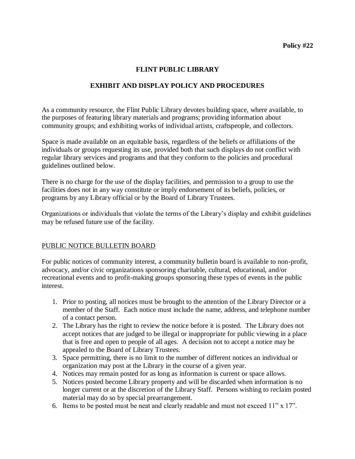#### **FLINT PUBLIC LIBRARY**

## **EXHIBIT AND DISPLAY POLICY AND PROCEDURES**

As a community resource, the Flint Public Library devotes building space, where available, to the purposes of featuring library materials and programs; providing information about community groups; and exhibiting works of individual artists, craftspeople, and collectors.

Space is made available on an equitable basis, regardless of the beliefs or affiliations of the individuals or groups requesting its use, provided both that such displays do not conflict with regular library services and programs and that they conform to the policies and procedural guidelines outlined below.

There is no charge for the use of the display facilities, and permission to a group to use the facilities does not in any way constitute or imply endorsement of its beliefs, policies, or programs by any Library official or by the Board of Library Trustees.

Organizations or individuals that violate the terms of the Library's display and exhibit guidelines may be refused future use of the facility.

### PUBLIC NOTICE BULLETIN BOARD

For public notices of community interest, a community bulletin board is available to non-profit, advocacy, and/or civic organizations sponsoring charitable, cultural, educational, and/or recreational events and to profit-making groups sponsoring these types of events in the public interest.

- 1. Prior to posting, all notices must be brought to the attention of the Library Director or a member of the Staff. Each notice must include the name, address, and telephone number of a contact person.
- 2. The Library has the right to review the notice before it is posted. The Library does not accept notices that are judged to be illegal or inappropriate for public viewing in a place that is free and open to people of all ages. A decision not to accept a notice may be appealed to the Board of Library Trustees.
- 3. Space permitting, there is no limit to the number of different notices an individual or organization may post at the Library in the course of a given year.
- 4. Notices may remain posted for as long as information is current or space allows.
- 5. Notices posted become Library property and will be discarded when information is no longer current or at the discretion of the Library Staff. Persons wishing to reclaim posted material may do so by special prearrangement.
- 6. Items to be posted must be neat and clearly readable and must not exceed 11" x 17".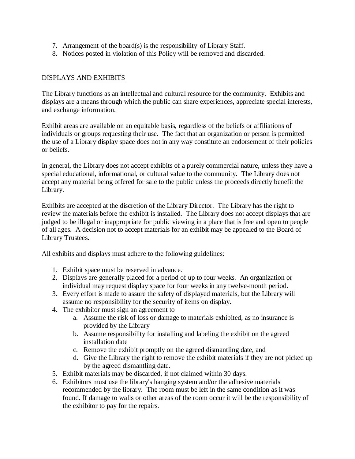- 7. Arrangement of the board(s) is the responsibility of Library Staff.
- 8. Notices posted in violation of this Policy will be removed and discarded.

### DISPLAYS AND EXHIBITS

The Library functions as an intellectual and cultural resource for the community. Exhibits and displays are a means through which the public can share experiences, appreciate special interests, and exchange information.

Exhibit areas are available on an equitable basis, regardless of the beliefs or affiliations of individuals or groups requesting their use. The fact that an organization or person is permitted the use of a Library display space does not in any way constitute an endorsement of their policies or beliefs.

In general, the Library does not accept exhibits of a purely commercial nature, unless they have a special educational, informational, or cultural value to the community. The Library does not accept any material being offered for sale to the public unless the proceeds directly benefit the Library.

Exhibits are accepted at the discretion of the Library Director. The Library has the right to review the materials before the exhibit is installed. The Library does not accept displays that are judged to be illegal or inappropriate for public viewing in a place that is free and open to people of all ages. A decision not to accept materials for an exhibit may be appealed to the Board of Library Trustees.

All exhibits and displays must adhere to the following guidelines:

- 1. Exhibit space must be reserved in advance.
- 2. Displays are generally placed for a period of up to four weeks. An organization or individual may request display space for four weeks in any twelve-month period.
- 3. Every effort is made to assure the safety of displayed materials, but the Library will assume no responsibility for the security of items on display.
- 4. The exhibitor must sign an agreement to
	- a. Assume the risk of loss or damage to materials exhibited, as no insurance is provided by the Library
	- b. Assume responsibility for installing and labeling the exhibit on the agreed installation date
	- c. Remove the exhibit promptly on the agreed dismantling date, and
	- d. Give the Library the right to remove the exhibit materials if they are not picked up by the agreed dismantling date.
- 5. Exhibit materials may be discarded, if not claimed within 30 days.
- 6. Exhibitors must use the library's hanging system and/or the adhesive materials recommended by the library. The room must be left in the same condition as it was found. If damage to walls or other areas of the room occur it will be the responsibility of the exhibitor to pay for the repairs.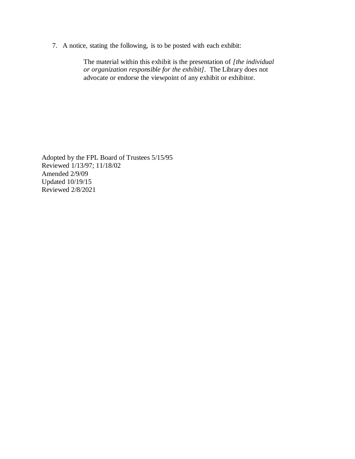7. A notice, stating the following, is to be posted with each exhibit:

The material within this exhibit is the presentation of *[the individual or organization responsible for the exhibit].* The Library does not advocate or endorse the viewpoint of any exhibit or exhibitor.

Adopted by the FPL Board of Trustees 5/15/95 Reviewed 1/13/97; 11/18/02 Amended 2/9/09 Updated 10/19/15 Reviewed 2/8/2021